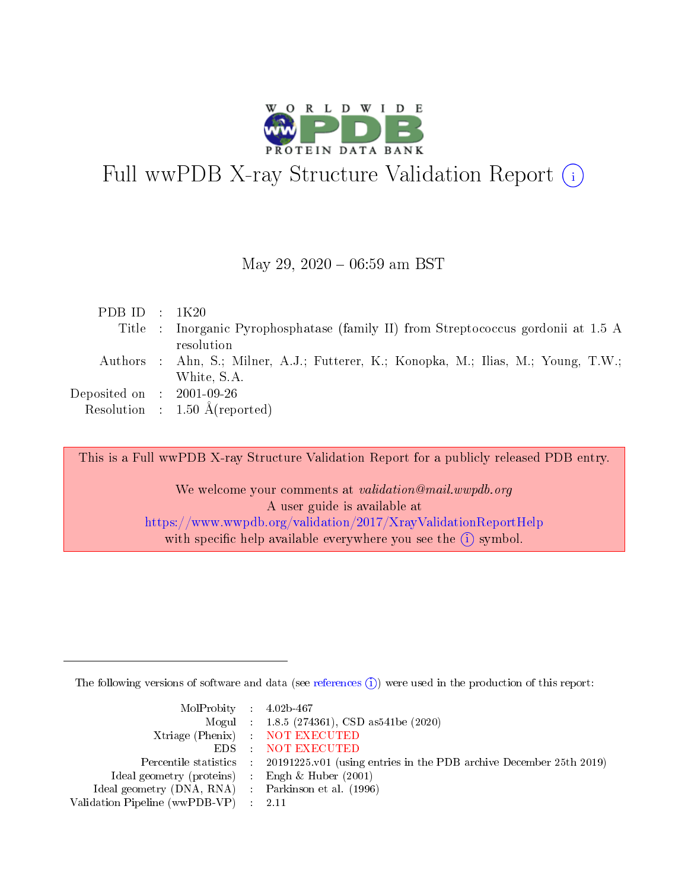

# Full wwPDB X-ray Structure Validation Report  $(i)$

#### May 29,  $2020 - 06:59$  am BST

| PDB ID : $1K20$                                           |                                                                                     |
|-----------------------------------------------------------|-------------------------------------------------------------------------------------|
|                                                           | Title : Inorganic Pyrophosphatase (family II) from Streptococcus gordonii at 1.5 A  |
|                                                           | resolution                                                                          |
|                                                           | Authors : Ahn, S.; Milner, A.J.; Futterer, K.; Konopka, M.; Ilias, M.; Young, T.W.; |
|                                                           | White, S.A.                                                                         |
| $\rm Deposited\; on \;\; : \;\; 2001\text{-}09\text{-}26$ |                                                                                     |
|                                                           | Resolution : $1.50 \text{ Å}$ (reported)                                            |

This is a Full wwPDB X-ray Structure Validation Report for a publicly released PDB entry.

We welcome your comments at validation@mail.wwpdb.org A user guide is available at <https://www.wwpdb.org/validation/2017/XrayValidationReportHelp> with specific help available everywhere you see the  $(i)$  symbol.

The following versions of software and data (see [references](https://www.wwpdb.org/validation/2017/XrayValidationReportHelp#references)  $(i)$ ) were used in the production of this report:

| $MolProbability$ 4.02b-467                          |                                                                                            |
|-----------------------------------------------------|--------------------------------------------------------------------------------------------|
|                                                     | Mogul : 1.8.5 (274361), CSD as541be (2020)                                                 |
|                                                     | Xtriage (Phenix) NOT EXECUTED                                                              |
|                                                     | EDS : NOT EXECUTED                                                                         |
|                                                     | Percentile statistics : 20191225.v01 (using entries in the PDB archive December 25th 2019) |
| Ideal geometry (proteins) : Engh $\&$ Huber (2001)  |                                                                                            |
| Ideal geometry (DNA, RNA) : Parkinson et al. (1996) |                                                                                            |
| Validation Pipeline (wwPDB-VP) : 2.11               |                                                                                            |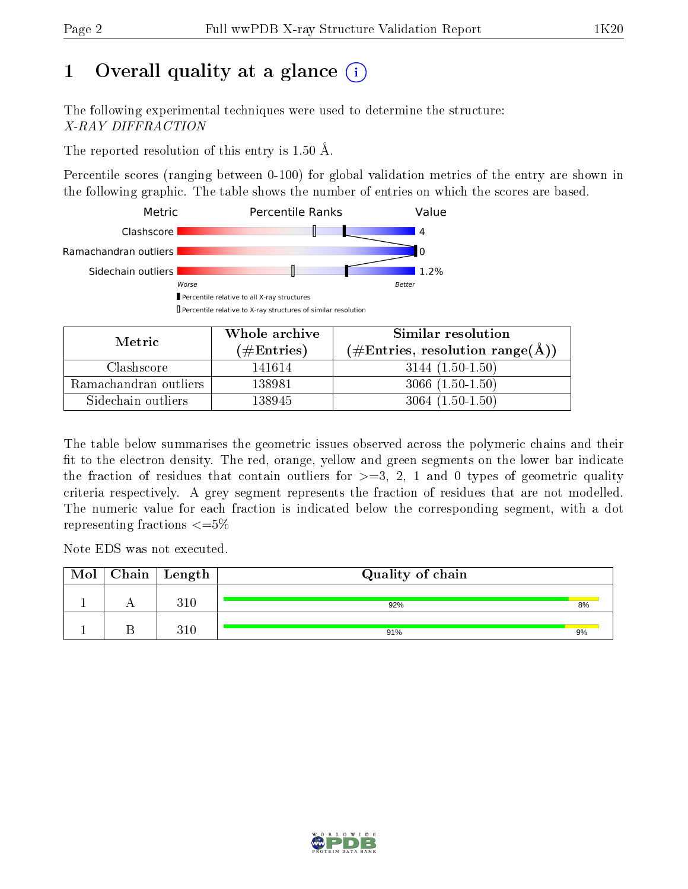# 1 [O](https://www.wwpdb.org/validation/2017/XrayValidationReportHelp#overall_quality)verall quality at a glance  $(i)$

The following experimental techniques were used to determine the structure: X-RAY DIFFRACTION

The reported resolution of this entry is 1.50 Å.

Percentile scores (ranging between 0-100) for global validation metrics of the entry are shown in the following graphic. The table shows the number of entries on which the scores are based.



| Metric                | Whole archive<br>(# $\rm{Entries}$ ) | Similar resolution<br>$(\#\text{Entries}, \text{resolution range}(\text{\AA})$ |
|-----------------------|--------------------------------------|--------------------------------------------------------------------------------|
| Clashscore            | 141614                               | $3144(1.50-1.50)$                                                              |
| Ramachandran outliers | 138981                               | $3066(1.50-1.50)$                                                              |
| Sidechain outliers    | 138945                               | $3064(1.50-1.50)$                                                              |

The table below summarises the geometric issues observed across the polymeric chains and their fit to the electron density. The red, orange, yellow and green segments on the lower bar indicate the fraction of residues that contain outliers for  $\geq=3$ , 2, 1 and 0 types of geometric quality criteria respectively. A grey segment represents the fraction of residues that are not modelled. The numeric value for each fraction is indicated below the corresponding segment, with a dot representing fractions  $\leq=5\%$ 

Note EDS was not executed.

| Mol | $\mid$ Chain $\mid$ Length | Quality of chain |    |
|-----|----------------------------|------------------|----|
|     | 310                        | 92%              | 8% |
|     | $310\,$                    | 91%              | 9% |

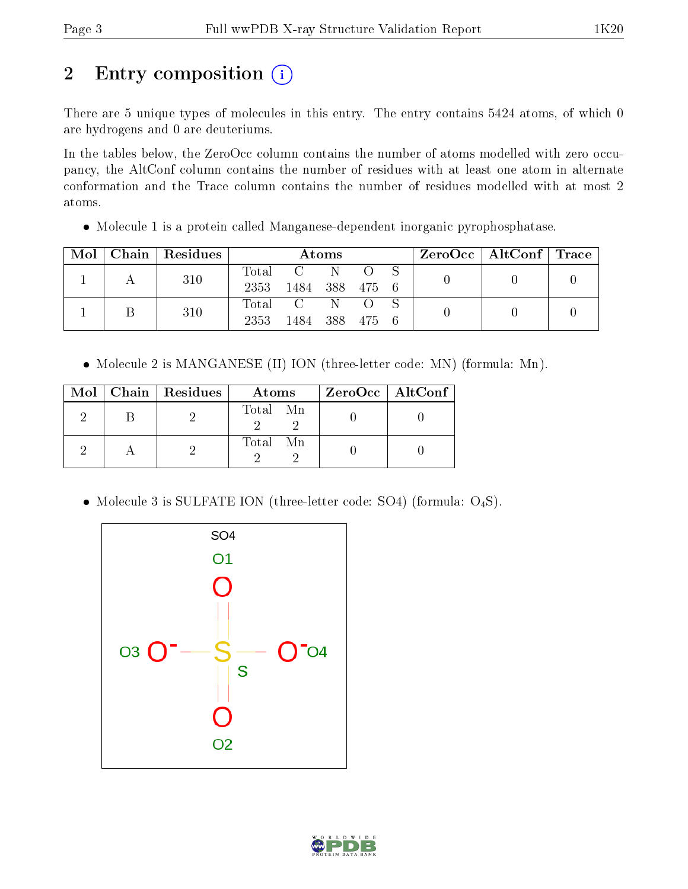# 2 Entry composition (i)

There are 5 unique types of molecules in this entry. The entry contains 5424 atoms, of which 0 are hydrogens and 0 are deuteriums.

In the tables below, the ZeroOcc column contains the number of atoms modelled with zero occupancy, the AltConf column contains the number of residues with at least one atom in alternate conformation and the Trace column contains the number of residues modelled with at most 2 atoms.

• Molecule 1 is a protein called Manganese-dependent inorganic pyrophosphatase.

| Mol |  | Chain   Residues | Atoms |             |         |           |  | ZeroOcc   AltConf   Trace |  |
|-----|--|------------------|-------|-------------|---------|-----------|--|---------------------------|--|
|     |  | 310              |       | Total C     | -N-     |           |  |                           |  |
|     |  |                  | 2353  | -1484       |         | 388 475 6 |  |                           |  |
|     |  | 310              |       | Total C N O |         |           |  |                           |  |
|     |  | 2353             | 1484  |             | 388 475 | - 6       |  |                           |  |

• Molecule 2 is MANGANESE (II) ION (three-letter code: MN) (formula: Mn).

|  | Mol   Chain   Residues | Atoms    | $\rm ZeroOcc \mid AltConf$ |
|--|------------------------|----------|----------------------------|
|  |                        | Total Mn |                            |
|  |                        | Total Mn |                            |

• Molecule 3 is SULFATE ION (three-letter code: SO4) (formula:  $O_4S$ ).



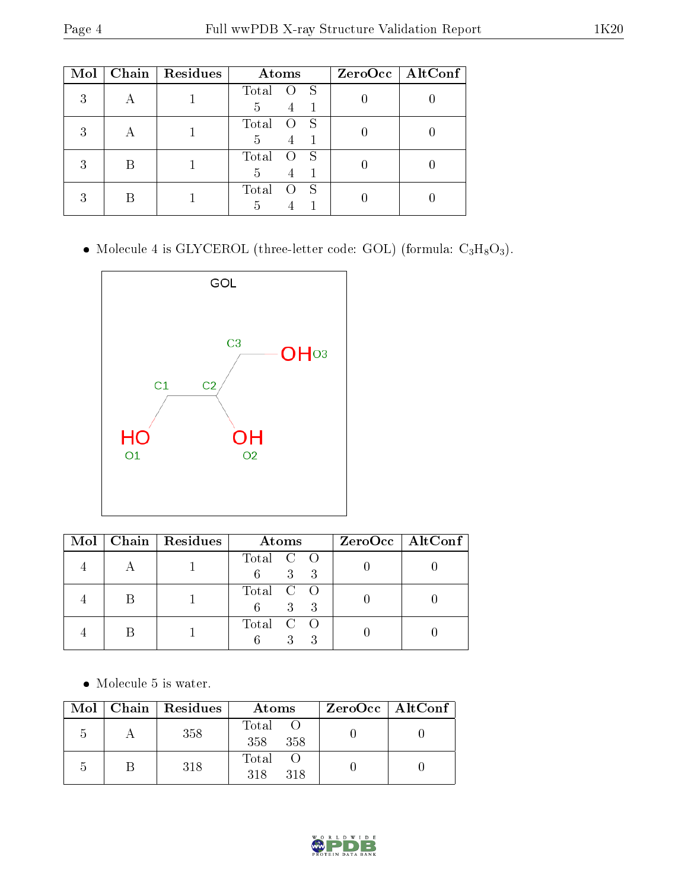| Mol |   | Chain   Residues | Atoms           | $ZeroOcc$   AltConf |
|-----|---|------------------|-----------------|---------------------|
| 3   |   |                  | Total<br>S      |                     |
|     |   |                  | 5<br>Total<br>S |                     |
|     |   |                  | 5               |                     |
|     | В |                  | Total<br>S      |                     |
|     |   |                  | 5               |                     |
|     | В |                  | Total<br>S<br>5 |                     |
|     |   |                  |                 |                     |

• Molecule 4 is GLYCEROL (three-letter code: GOL) (formula:  $C_3H_8O_3$ ).



|  | Mol   Chain   Residues<br>Atoms |                                                     | $ZeroOcc \   \ AltConf \  $ |
|--|---------------------------------|-----------------------------------------------------|-----------------------------|
|  |                                 | Total C O<br>$3 \quad 3$<br>6                       |                             |
|  |                                 | Total C O<br>$\mathcal{E}$<br>6 <sup>1</sup><br>- 3 |                             |
|  |                                 | Total C O                                           |                             |

 $\bullet\,$  Molecule 5 is water.

|   | Mol   Chain   Residues | Atoms               | $ZeroOcc \mid AltConf$ |  |
|---|------------------------|---------------------|------------------------|--|
| h | 358                    | Total<br>358<br>358 |                        |  |
| h | 318                    | Total<br>318<br>318 |                        |  |

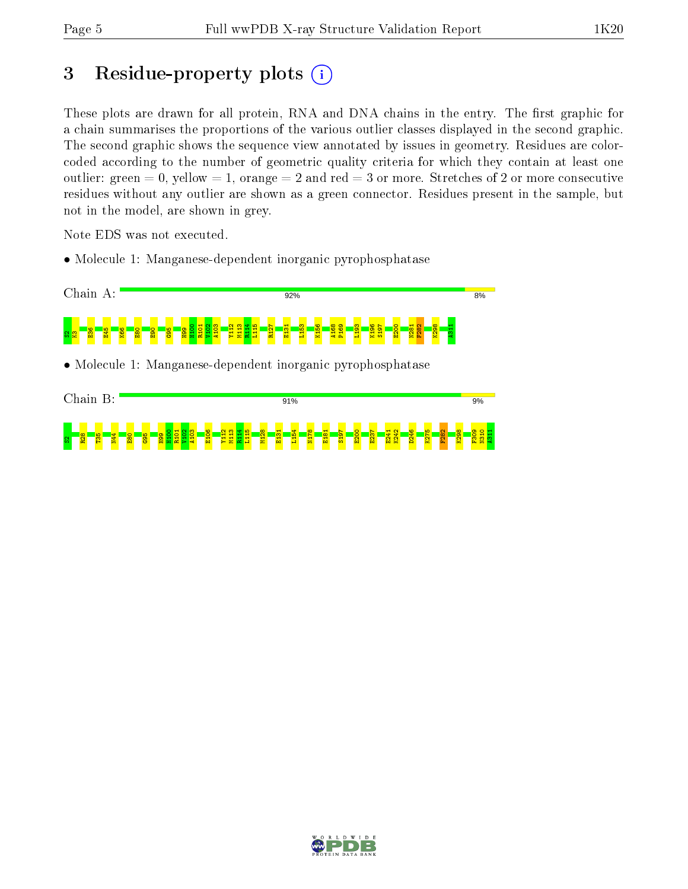# 3 Residue-property plots  $(i)$

These plots are drawn for all protein, RNA and DNA chains in the entry. The first graphic for a chain summarises the proportions of the various outlier classes displayed in the second graphic. The second graphic shows the sequence view annotated by issues in geometry. Residues are colorcoded according to the number of geometric quality criteria for which they contain at least one outlier: green  $= 0$ , yellow  $= 1$ , orange  $= 2$  and red  $= 3$  or more. Stretches of 2 or more consecutive residues without any outlier are shown as a green connector. Residues present in the sample, but not in the model, are shown in grey.

Note EDS was not executed.

• Molecule 1: Manganese-dependent inorganic pyrophosphatase



• Molecule 1: Manganese-dependent inorganic pyrophosphatase



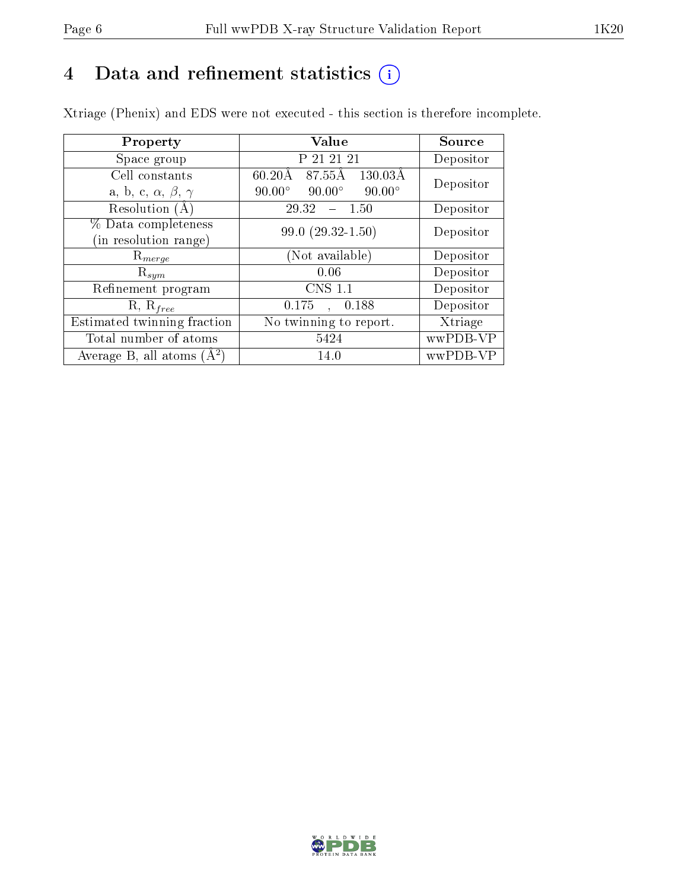# 4 Data and refinement statistics  $(i)$

Xtriage (Phenix) and EDS were not executed - this section is therefore incomplete.

| Property                               | Value                                           | <b>Source</b> |
|----------------------------------------|-------------------------------------------------|---------------|
| Space group                            | P 21 21 21                                      | Depositor     |
| Cell constants                         | 87.55Å<br>$130.03\text{\AA}$<br>60.20Å          | Depositor     |
| a, b, c, $\alpha$ , $\beta$ , $\gamma$ | $90.00^\circ$<br>$90.00^\circ$<br>$90.00^\circ$ |               |
| Resolution (A)                         | 29.32<br>$-1.50$                                | Depositor     |
| % Data completeness                    | $99.0(29.32-1.50)$                              | Depositor     |
| (in resolution range)                  |                                                 |               |
| $R_{merge}$                            | (Not available)                                 | Depositor     |
| $\mathrm{R}_{sym}$                     | 0.06                                            | Depositor     |
| Refinement program                     | $CNS$ 1.1                                       | Depositor     |
| $R, R_{free}$                          | 0.175<br>, 0.188                                | Depositor     |
| Estimated twinning fraction            | No twinning to report.                          | Xtriage       |
| Total number of atoms                  | 5424                                            | wwPDB-VP      |
| Average B, all atoms $(A^2)$           | 14.0                                            | wwPDB-VP      |

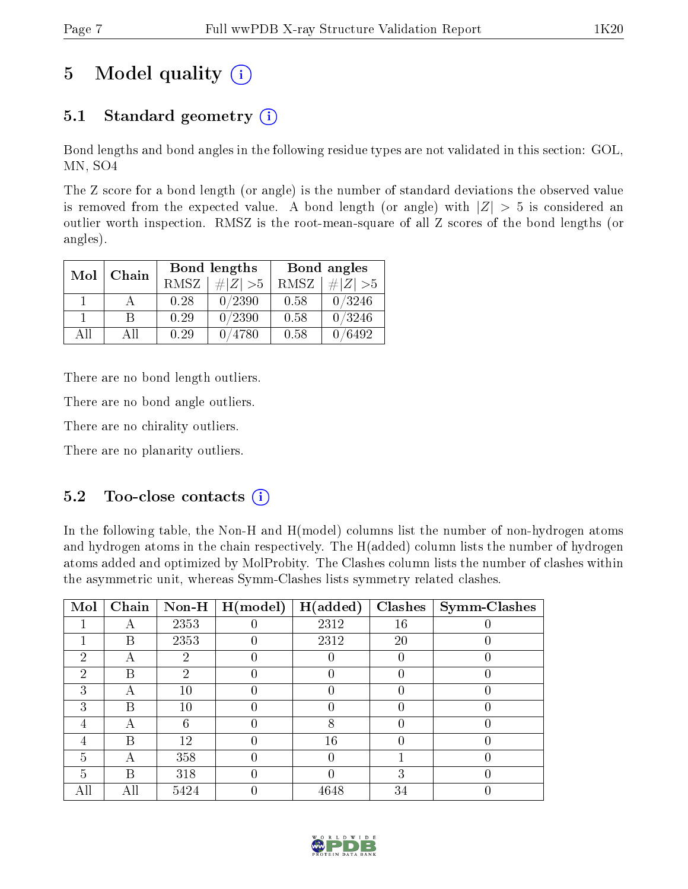# 5 Model quality  $(i)$

## 5.1 Standard geometry  $(i)$

Bond lengths and bond angles in the following residue types are not validated in this section: GOL, MN, SO4

The Z score for a bond length (or angle) is the number of standard deviations the observed value is removed from the expected value. A bond length (or angle) with  $|Z| > 5$  is considered an outlier worth inspection. RMSZ is the root-mean-square of all Z scores of the bond lengths (or angles).

| Mol | Chain |      | Bond lengths | Bond angles |             |  |
|-----|-------|------|--------------|-------------|-------------|--|
|     |       | RMSZ | $\# Z  > 5$  | RMSZ        | $\# Z  > 5$ |  |
|     |       | 0.28 | 0/2390       | 0.58        | 0/3246      |  |
|     | В     | 0.29 | 0/2390       | 0.58        | 0/3246      |  |
| AH  | All   | 0.29 | /4780        | 0.58        | /6492       |  |

There are no bond length outliers.

There are no bond angle outliers.

There are no chirality outliers.

There are no planarity outliers.

#### $5.2$  Too-close contacts  $\overline{()}$

In the following table, the Non-H and H(model) columns list the number of non-hydrogen atoms and hydrogen atoms in the chain respectively. The H(added) column lists the number of hydrogen atoms added and optimized by MolProbity. The Clashes column lists the number of clashes within the asymmetric unit, whereas Symm-Clashes lists symmetry related clashes.

| Mol                         | Chain | $\bf Non-H$ | H (model) | H(added) | <b>Clashes</b> | <b>Symm-Clashes</b> |
|-----------------------------|-------|-------------|-----------|----------|----------------|---------------------|
|                             |       | 2353        |           | 2312     | 16             |                     |
|                             | В     | 2353        |           | 2312     | 20             |                     |
| 2                           |       | 2           |           |          |                |                     |
| $\mathcal{D}_{\mathcal{L}}$ | В     | 2           |           |          |                |                     |
| 3                           |       | $10\,$      |           |          |                |                     |
| 3                           | В     | 10          |           |          |                |                     |
| 4                           |       | 6           |           | 8        |                |                     |
| 4                           | B     | 12          |           | 16       |                |                     |
| 5                           |       | 358         |           |          |                |                     |
| 5                           | В     | 318         |           |          | 3              |                     |
|                             | Αll   | 5424        |           | 4648     | 34             |                     |

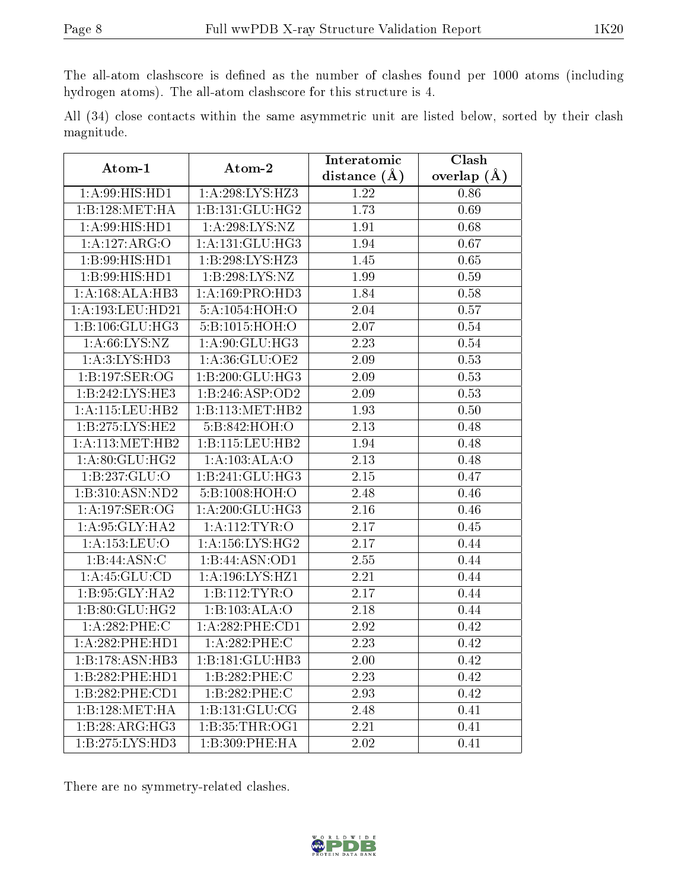The all-atom clashscore is defined as the number of clashes found per 1000 atoms (including hydrogen atoms). The all-atom clashscore for this structure is 4.

All (34) close contacts within the same asymmetric unit are listed below, sorted by their clash magnitude.

| Atom-1                        | Atom-2              | Interatomic       | Clash             |
|-------------------------------|---------------------|-------------------|-------------------|
|                               |                     | distance $(A)$    | overlap $(\AA)$   |
| $1: A:99: \overline{HIS:HDI}$ | 1:A:298:LYS:HZ3     | 1.22              | 0.86              |
| 1:B:128:MET:HA                | 1:B:131:GLU:HG2     | 1.73              | 0.69              |
| 1:A:99:HIS:HD1                | 1: A:298: LYS: NZ   | 1.91              | 0.68              |
| 1:A:127:ARG:O                 | 1: A:131: GLU:HG3   | 1.94              | 0.67              |
| 1:B:99:HIS:HD1                | 1:B:298:LYS:HZ3     | 1.45              | 0.65              |
| 1:B:99:HIS:HDI                | 1:B:298:LYS:NZ      | 1.99              | 0.59              |
| 1:A:168:ALA:HB3               | 1:A:169:PRO:HD3     | 1.84              | 0.58              |
| 1:A:193:LEU:HD21              | 5:A:1054:HOH:O      | 2.04              | 0.57              |
| 1:B:106:GLU:HG3               | 5:B:1015:HOH:O      | 2.07              | 0.54              |
| 1: A:66: LYS:NZ               | 1:A:90:GLU:HG3      | 2.23              | $0.54\,$          |
| 1: A:3: LYS: HD3              | 1:A:36:GLU:OE2      | 2.09              | 0.53              |
| 1:B:197:SER:OG                | 1:B:200:GLU:HG3     | 2.09              | 0.53              |
| 1:B:242:LYS:HE3               | 1:B:246:ASP:OD2     | 2.09              | 0.53              |
| 1:A:115:LEU:HB2               | 1:B:113:MET:HB2     | 1.93              | $\overline{0}.50$ |
| 1:B:275:LYS:HE2               | 5:B:842:HOH:O       | 2.13              | 0.48              |
| 1: A:113:MET:HB2              | 1:B:115:LEU:HB2     | 1.94              | 0.48              |
| 1:A:80:GLU:HG2                | 1:A:103:ALA:O       | 2.13              | 0.48              |
| 1:B:237:GLU:O                 | 1:B:241:GLU:HG3     | 2.15              | 0.47              |
| 1:B:310:ASN:ND2               | 5:B:1008:HOH:O      | 2.48              | 0.46              |
| 1:A:197:SER:OG                | 1:A:200:GLU:HG3     | 2.16              | 0.46              |
| 1:A:95:GLY:HA2                | 1:A:112:TYR:O       | 2.17              | 0.45              |
| 1:A:153:LEU:O                 | 1: A: 156: LYS: HG2 | 2.17              | 0.44              |
| 1:B:44:ASN:C                  | 1:B:44:ASN:OD1      | 2.55              | 0.44              |
| 1: A: 45: GLU: CD             | 1:A:196:LYS:HZ1     | 2.21              | 0.44              |
| 1:B:95:GLY:HA2                | 1:B:112:TYR:O       | 2.17              | 0.44              |
| 1: B:80: GLU: HG2             | 1:B:103:ALA:O       | 2.18              | 0.44              |
| 1:A:282:PHE:C                 | 1:A:282:PHE:CD1     | 2.92              | 0.42              |
| 1:A:282:PHE:HD1               | 1:A:282:PHE:C       | 2.23              | 0.42              |
| 1:B:178:ASN:HB3               | 1:B:181:GLU:HB3     | $\overline{2.00}$ | 0.42              |
| 1:B:282:PHE:HD1               | 1:B:282:PHE:C       | 2.23              | 0.42              |
| 1:B:282:PHE:CD1               | 1:B:282:PHE:C       | 2.93              | 0.42              |
| 1:B:128:MET:HA                | 1:B:131:GLU:CG      | 2.48              | 0.41              |
| 1:B:28:ARG:HG3                | 1:B:35:THR:OG1      | 2.21              | 0.41              |
| 1:B:275:LYS:HD3               | 1:B:309:PHE:HA      | 2.02              | 0.41              |

There are no symmetry-related clashes.

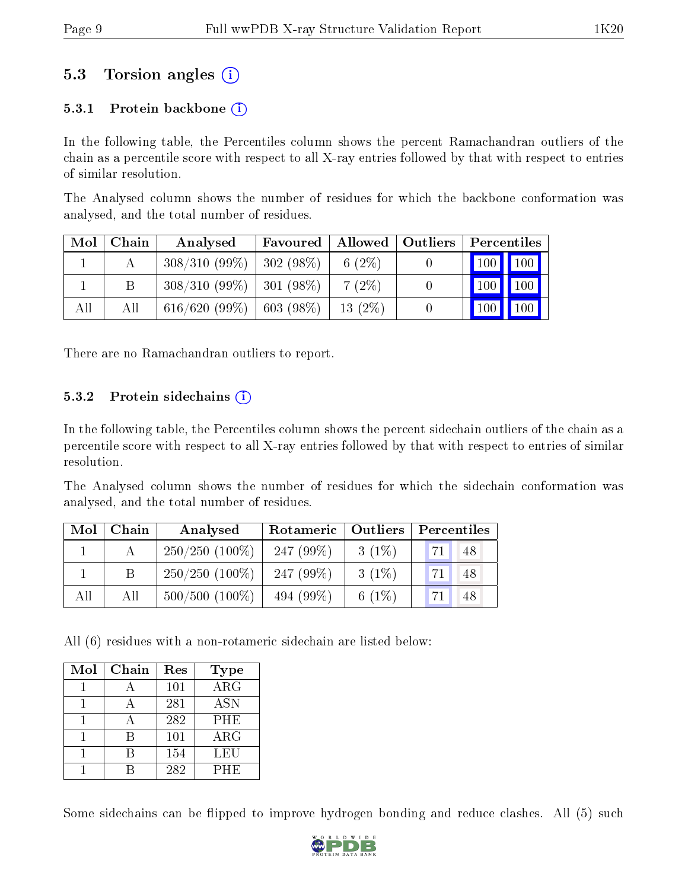### 5.3 Torsion angles (i)

#### 5.3.1 Protein backbone  $(i)$

In the following table, the Percentiles column shows the percent Ramachandran outliers of the chain as a percentile score with respect to all X-ray entries followed by that with respect to entries of similar resolution.

The Analysed column shows the number of residues for which the backbone conformation was analysed, and the total number of residues.

| Mol | Chain | Analysed                      | Favoured     | $\blacksquare$ Allowed $\blacksquare$ | <b>Outliers</b> | Percentiles         |     |
|-----|-------|-------------------------------|--------------|---------------------------------------|-----------------|---------------------|-----|
|     |       | $308/310(99\%)$               | $ 302(98\%)$ | 6 $(2\%)$                             |                 | $100$   $100$       |     |
|     |       | $308/310$ (99\%)   301 (98\%) |              | 7(2%)                                 |                 | $\vert$ 100 $\vert$ | 100 |
| All | Аll   | $616/620(99\%)$               | $603(98\%)$  | 13(2%)                                |                 | $100 \mid$          | 100 |

There are no Ramachandran outliers to report.

#### 5.3.2 Protein sidechains  $\hat{1}$

In the following table, the Percentiles column shows the percent sidechain outliers of the chain as a percentile score with respect to all X-ray entries followed by that with respect to entries of similar resolution.

The Analysed column shows the number of residues for which the sidechain conformation was analysed, and the total number of residues.

| Mol | Chain | Analysed            | Rotameric   Outliers |           | Percentiles |  |  |
|-----|-------|---------------------|----------------------|-----------|-------------|--|--|
|     |       | $250/250$ (100\%)   | 247 $(99\%)$         | $3(1\%)$  | 71.<br>48   |  |  |
|     | B     | $250/250$ (100%)    | 247 $(99\%)$         | $3(1\%)$  | 71<br>48    |  |  |
| All | All   | $500/500$ $(100\%)$ | 494 (99%)            | 6 $(1\%)$ | 48          |  |  |

All (6) residues with a non-rotameric sidechain are listed below:

| Mol | Chain | Res | <b>Type</b>          |
|-----|-------|-----|----------------------|
|     |       | 101 | $\overline{\rm ARG}$ |
|     |       | 281 | <b>ASN</b>           |
|     |       | 282 | <b>PHE</b>           |
|     | R     | 101 | $\rm{ARG}$           |
|     |       | 154 | LEU                  |
|     |       | 282 | PHE                  |

Some sidechains can be flipped to improve hydrogen bonding and reduce clashes. All (5) such

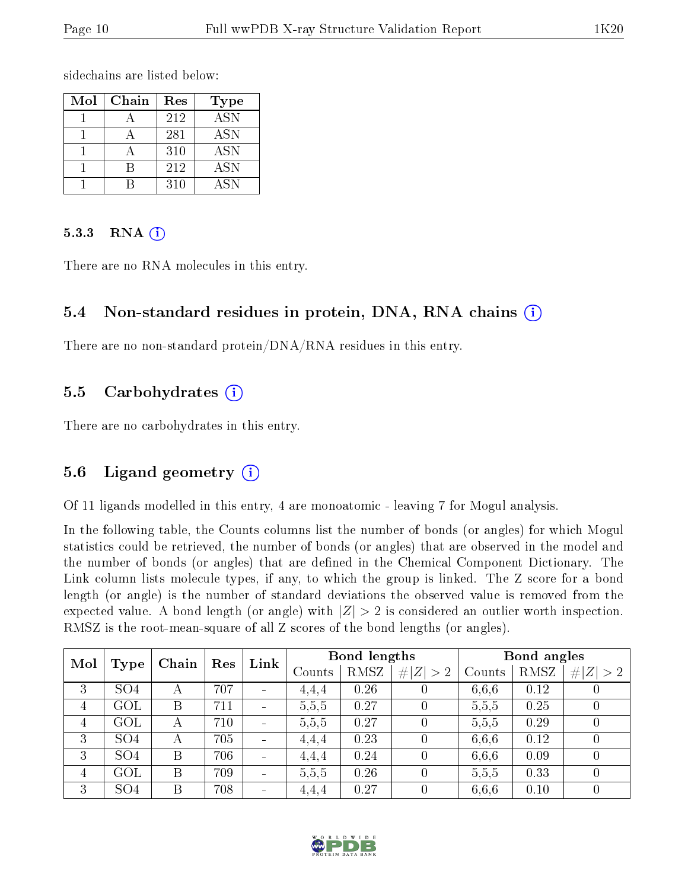sidechains are listed below:

| Mol | Chain | Res | <b>Type</b> |
|-----|-------|-----|-------------|
|     |       | 212 | <b>ASN</b>  |
|     |       | 281 | <b>ASN</b>  |
|     |       | 310 | <b>ASN</b>  |
|     |       | 212 | <b>ASN</b>  |
|     |       | 310 | ASN         |

#### 5.3.3 RNA  $(i)$

There are no RNA molecules in this entry.

#### 5.4 Non-standard residues in protein, DNA, RNA chains (i)

There are no non-standard protein/DNA/RNA residues in this entry.

#### 5.5 Carbohydrates  $(i)$

There are no carbohydrates in this entry.

#### 5.6 Ligand geometry  $(i)$

Of 11 ligands modelled in this entry, 4 are monoatomic - leaving 7 for Mogul analysis.

In the following table, the Counts columns list the number of bonds (or angles) for which Mogul statistics could be retrieved, the number of bonds (or angles) that are observed in the model and the number of bonds (or angles) that are dened in the Chemical Component Dictionary. The Link column lists molecule types, if any, to which the group is linked. The Z score for a bond length (or angle) is the number of standard deviations the observed value is removed from the expected value. A bond length (or angle) with  $|Z| > 2$  is considered an outlier worth inspection. RMSZ is the root-mean-square of all Z scores of the bond lengths (or angles).

| Mol |                 | Chain | Res | Bond lengths<br>Link     |       |             |          |       | Bond angles |  |  |
|-----|-----------------|-------|-----|--------------------------|-------|-------------|----------|-------|-------------|--|--|
|     | Type            |       |     | Counts                   | RMSZ  | # $ Z  > 2$ | Counts   | RMSZ  | # $ Z  > 2$ |  |  |
| 3   | SO <sub>4</sub> | А     | 707 | $\overline{\phantom{a}}$ | 4,4,4 | 0.26        |          | 6.6.6 | 0.12        |  |  |
| 4   | GOL             | Β     | 711 | $\blacksquare$           | 5,5,5 | 0.27        | $\theta$ | 5,5,5 | 0.25        |  |  |
| 4   | GOL             | А     | 710 | $\blacksquare$           | 5,5,5 | 0.27        | 0        | 5,5,5 | 0.29        |  |  |
| 3   | SO <sub>4</sub> | А     | 705 | $\overline{\phantom{a}}$ | 4.4.4 | 0.23        | $\Omega$ | 6,6,6 | 0.12        |  |  |
| 3   | SO <sub>4</sub> | Β     | 706 |                          | 4,4,4 | 0.24        | $\theta$ | 6,6,6 | 0.09        |  |  |
| 4   | GOL             | Β     | 709 | $\overline{\phantom{a}}$ | 5,5,5 | 0.26        | $\Omega$ | 5,5,5 | 0.33        |  |  |
| 3   | SO <sub>4</sub> | B     | 708 | $\overline{\phantom{a}}$ | 4,4,4 | 0.27        | 0        | 6.6.6 | 0.10        |  |  |

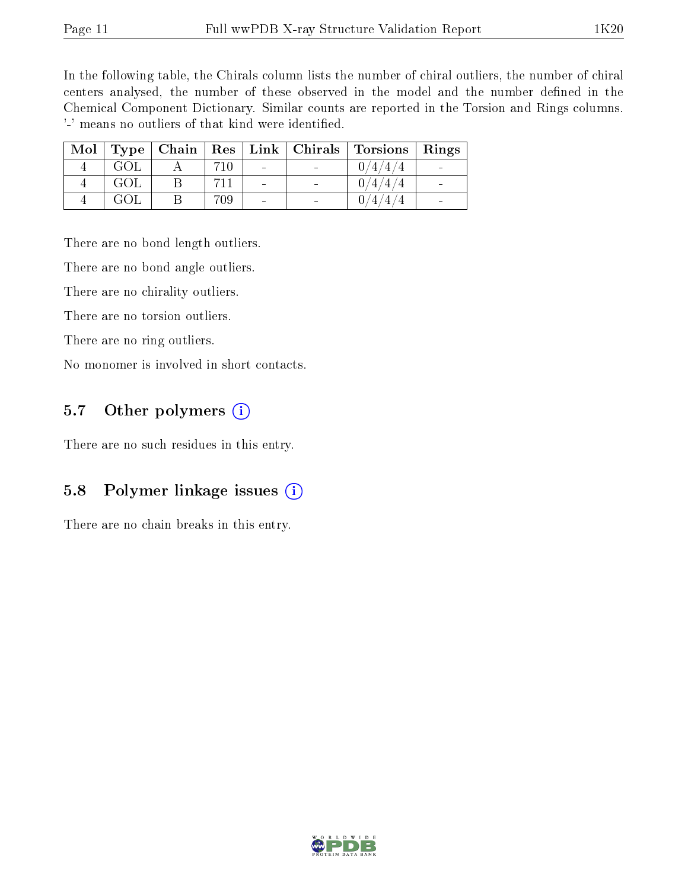In the following table, the Chirals column lists the number of chiral outliers, the number of chiral centers analysed, the number of these observed in the model and the number defined in the Chemical Component Dictionary. Similar counts are reported in the Torsion and Rings columns. '-' means no outliers of that kind were identified.

| Mol | Type |     |                          | $\vert$ Chain $\vert$ Res $\vert$ Link $\vert$ Chirals $\vert$ Torsions | $\mathbf{Rings}$ |
|-----|------|-----|--------------------------|-------------------------------------------------------------------------|------------------|
|     | GOL  | 710 | $\overline{\phantom{0}}$ | $\overline{4}$                                                          |                  |
|     | GOL  |     | $\overline{\phantom{0}}$ | 74.                                                                     |                  |
|     | GOL  | 709 | $\overline{\phantom{0}}$ |                                                                         |                  |

There are no bond length outliers.

There are no bond angle outliers.

There are no chirality outliers.

There are no torsion outliers.

There are no ring outliers.

No monomer is involved in short contacts.

#### 5.7 [O](https://www.wwpdb.org/validation/2017/XrayValidationReportHelp#nonstandard_residues_and_ligands)ther polymers  $(i)$

There are no such residues in this entry.

### 5.8 Polymer linkage issues  $(i)$

There are no chain breaks in this entry.